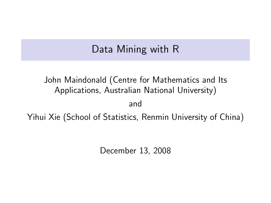#### Data Mining with R

#### John Maindonald (Centre for Mathematics and Its Applications, Australian National University)

and

Yihui Xie (School of Statistics, Renmin University of China)

December 13, 2008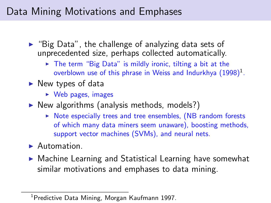# Data Mining Motivations and Emphases

- $\triangleright$  "Big Data", the challenge of analyzing data sets of unprecedented size, perhaps collected automatically.
	- $\triangleright$  The term "Big Data" is mildly ironic, tilting a bit at the overblown use of this phrase in Weiss and Indurkhya  $(1998)^{1}$ .
- $\blacktriangleright$  New types of data
	- $\triangleright$  Web pages, images
- $\triangleright$  New algorithms (analysis methods, models?)
	- $\triangleright$  Note especially trees and tree ensembles, (NB random forests of which many data miners seem unaware), boosting methods, support vector machines (SVMs), and neural nets.
- $\blacktriangleright$  Automation.
- $\triangleright$  Machine Learning and Statistical Learning have somewhat similar motivations and emphases to data mining.

<sup>1</sup>Predictive Data Mining, Morgan Kaufmann 1997.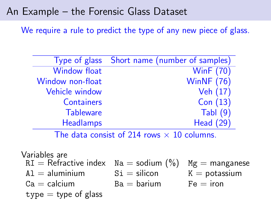### An Example – the Forensic Glass Dataset

We require a rule to predict the type of any new piece of glass.

| Type of glass       | Short name (number of samples) |
|---------------------|--------------------------------|
| <b>Window float</b> | <b>WinF</b> (70)               |
| Window non-float    | <b>WinNF</b> (76)              |
| Vehicle window      | Veh (17)                       |
| Containers          | Con $(13)$                     |
| <b>Tableware</b>    | Tabl(9)                        |
| <b>Headlamps</b>    | Head $(29)$                    |
|                     |                                |

The data consist of 214 rows  $\times$  10 columns.

Variables are  $RI = Refractive index$  Na = sodium  $\binom{0}{0}$  Mg = manganese  $A1 =$  aluminium  $S1 =$  silicon  $K =$  potassium  $Ca =$ calcium Ba = barium Fe = iron  $type = type of glass$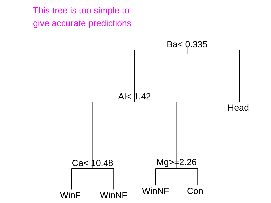This tree is too simple to give accurate predictions

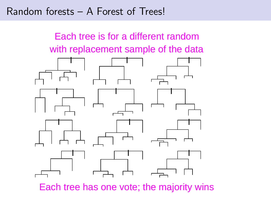#### Random forests – A Forest of Trees!



Each tree has one vote; the majority wins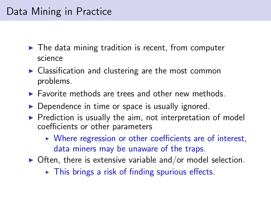# Data Mining in Practice

- $\blacktriangleright$  The data mining tradition is recent, from computer science
- $\triangleright$  Classification and clustering are the most common problems.
- $\blacktriangleright$  Favorite methods are trees and other new methods.
- $\triangleright$  Dependence in time or space is usually ignored.
- $\triangleright$  Prediction is usually the aim, not interpretation of model coefficients or other parameters
	- $\triangleright$  Where regression or other coefficients are of interest, data miners may be unaware of the traps.
- $\triangleright$  Often, there is extensive variable and/or model selection.
	- $\triangleright$  This brings a risk of finding spurious effects.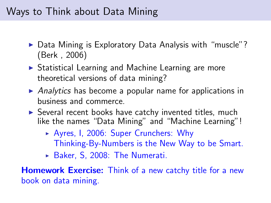# Ways to Think about Data Mining

- $\triangleright$  Data Mining is Exploratory Data Analysis with "muscle"? (Berk , 2006)
- $\triangleright$  Statistical Learning and Machine Learning are more theoretical versions of data mining?
- $\triangleright$  Analytics has become a popular name for applications in business and commerce.
- $\triangleright$  Several recent books have catchy invented titles, much like the names "Data Mining" and "Machine Learning"!
	- Ayres, I, 2006: Super Crunchers: Why Thinking-By-Numbers is the New Way to be Smart.
	- $\triangleright$  Baker, S, 2008: The Numerati.

**Homework Exercise:** Think of a new catchy title for a new book on data mining.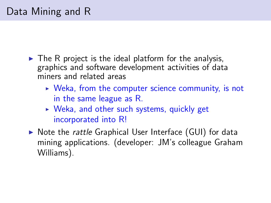- $\blacktriangleright$  The R project is the ideal platform for the analysis, graphics and software development activities of data miners and related areas
	- $\triangleright$  Weka, from the computer science community, is not in the same league as R.
	- $\triangleright$  Weka, and other such systems, quickly get incorporated into R!
- $\triangleright$  Note the *rattle* Graphical User Interface (GUI) for data mining applications. (developer: JM's colleague Graham Williams).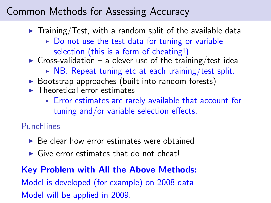# Common Methods for Assessing Accuracy

- $\blacktriangleright$  Training/Test, with a random split of the available data
	- $\triangleright$  Do not use the test data for tuning or variable selection (this is a form of cheating!)
- $\triangleright$  Cross-validation a clever use of the training/test idea
	- $\triangleright$  NB: Repeat tuning etc at each training/test split.
- $\triangleright$  Bootstrap approaches (built into random forests)
- $\blacktriangleright$  Theoretical error estimates
	- $\triangleright$  Error estimates are rarely available that account for tuning and/or variable selection effects.

#### Punchlines

- $\triangleright$  Be clear how error estimates were obtained
- $\triangleright$  Give error estimates that do not cheat!

### Key Problem with All the Above Methods: Model is developed (for example) on 2008 data Model will be applied in 2009.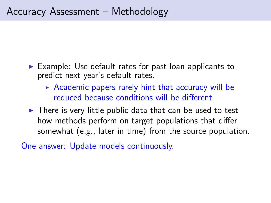- $\triangleright$  Example: Use default rates for past loan applicants to predict next year's default rates.
	- $\triangleright$  Academic papers rarely hint that accuracy will be reduced because conditions will be different.
- $\blacktriangleright$  There is very little public data that can be used to test how methods perform on target populations that differ somewhat (e.g., later in time) from the source population.

One answer: Update models continuously.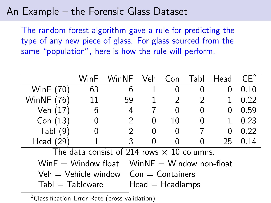### An Example – the Forensic Glass Dataset

The random forest algorithm gave a rule for predicting the type of any new piece of glass. For glass sourced from the same "population", here is how the rule will perform.

|                                                     | WinF | WinNF |               | Veh Con | Tabl | Head | CE <sup>2</sup> |  |
|-----------------------------------------------------|------|-------|---------------|---------|------|------|-----------------|--|
| WinF (70)                                           | 63   | 6     | 1             |         |      |      | 0.10            |  |
| WinNF $(76)$                                        | 11   | 59    | 1             | 2       | 2    |      | 0.22            |  |
| Veh (17)                                            | 6    | 4     | 7             | 0       | 0    |      | 0.59            |  |
| Con $(13)$                                          |      | 2     | 0             | 10      | 0    |      | 0.23            |  |
| Tabl $(9)$                                          |      | 2     | 0             | 0       |      |      | 0.22            |  |
| Head $(29)$                                         |      | 3     | 0             | O       | 0    | 25   | 0.14            |  |
| The data consist of 214 rows $\times$ 10 columns.   |      |       |               |         |      |      |                 |  |
| $WinNF = Window non-float$<br>$WinF = Window$ float |      |       |               |         |      |      |                 |  |
| $Veh = Vehicle$ window $Con =$ Containers           |      |       |               |         |      |      |                 |  |
| $Tabl = Tableware$                                  |      |       | $Head = Head$ |         |      |      |                 |  |

 $2$ Classification Error Rate (cross-validation)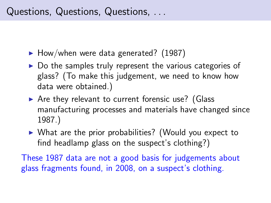### Questions, Questions, Questions, . . .

- $\blacktriangleright$  How/when were data generated? (1987)
- $\triangleright$  Do the samples truly represent the various categories of glass? (To make this judgement, we need to know how data were obtained.)
- $\triangleright$  Are they relevant to current forensic use? (Glass manufacturing processes and materials have changed since 1987.)
- $\triangleright$  What are the prior probabilities? (Would you expect to find headlamp glass on the suspect's clothing?)

These 1987 data are not a good basis for judgements about glass fragments found, in 2008, on a suspect's clothing.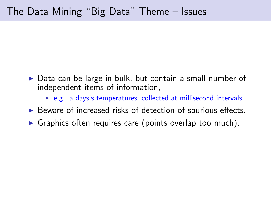- $\triangleright$  Data can be large in bulk, but contain a small number of independent items of information,
	- $\triangleright$  e.g., a days's temperatures, collected at millisecond intervals.
- $\triangleright$  Beware of increased risks of detection of spurious effects.
- $\triangleright$  Graphics often requires care (points overlap too much).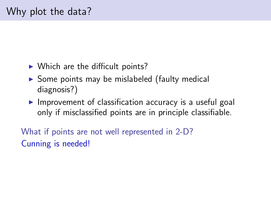- $\triangleright$  Which are the difficult points?
- $\triangleright$  Some points may be mislabeled (faulty medical diagnosis?)
- $\triangleright$  Improvement of classification accuracy is a useful goal only if misclassified points are in principle classifiable.

What if points are not well represented in 2-D? Cunning is needed!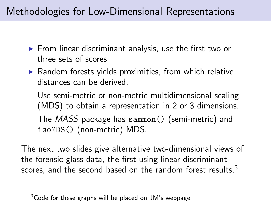# Methodologies for Low-Dimensional Representations

- $\blacktriangleright$  From linear discriminant analysis, use the first two or three sets of scores
- $\blacktriangleright$  Random forests yields proximities, from which relative distances can be derived.

Use semi-metric or non-metric multidimensional scaling (MDS) to obtain a representation in 2 or 3 dimensions. The MASS package has sammon() (semi-metric) and isoMDS() (non-metric) MDS.

The next two slides give alternative two-dimensional views of the forensic glass data, the first using linear discriminant scores, and the second based on the random forest results. $3$ 

 $3$ Code for these graphs will be placed on JM's webpage.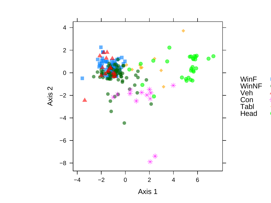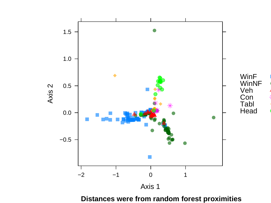

**Distances were from random forest proximities**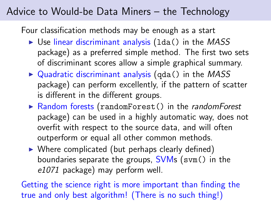### Advice to Would-be Data Miners – the Technology

Four classification methods may be enough as a start

- $\triangleright$  Use linear discriminant analysis (1da() in the MASS package) as a preferred simple method. The first two sets of discriminant scores allow a simple graphical summary.
- $\triangleright$  Quadratic discriminant analysis (qda() in the MASS package) can perform excellently, if the pattern of scatter is different in the different groups.
- $\triangleright$  Random forests (randomForest() in the randomForest package) can be used in a highly automatic way, does not overfit with respect to the source data, and will often outperform or equal all other common methods.
- $\triangleright$  Where complicated (but perhaps clearly defined) boundaries separate the groups, SVMs (svm() in the e1071 package) may perform well.

Getting the science right is more important than finding the true and only best algorithm! (There is no such thing!)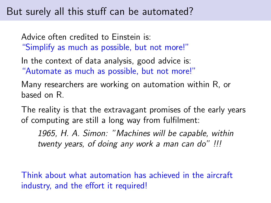### But surely all this stuff can be automated?

Advice often credited to Einstein is: "Simplify as much as possible, but not more!"

In the context of data analysis, good advice is: "Automate as much as possible, but not more!"

Many researchers are working on automation within R, or based on R.

The reality is that the extravagant promises of the early years of computing are still a long way from fulfilment:

1965, H. A. Simon: "Machines will be capable, within twenty years, of doing any work a man can do" !!!

Think about what automation has achieved in the aircraft industry, and the effort it required!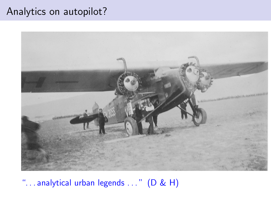#### Analytics on autopilot?



"...analytical urban legends ..." (D & H)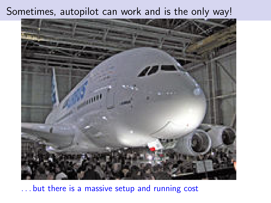#### Sometimes, autopilot can work and is the only way!



. . . but there is a massive setup and running cost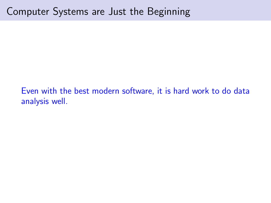Even with the best modern software, it is hard work to do data analysis well.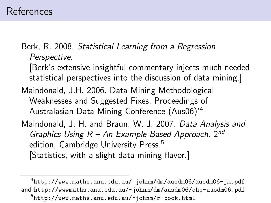Berk, R. 2008. Statistical Learning from a Regression Perspective.

[Berk's extensive insightful commentary injects much needed statistical perspectives into the discussion of data mining.]

Maindonald, J.H. 2006. Data Mining Methodological Weaknesses and Suggested Fixes. Proceedings of Australasian Data Mining Conference (Aus06)'<sup>4</sup>

Maindonald, J. H. and Braun, W. J. 2007. Data Analysis and Graphics Using  $R - An$  Example-Based Approach.  $2^{nd}$ edition, Cambridge University Press.<sup>5</sup> [Statistics, with a slight data mining flavor.]

 $^4$ <http://www.maths.anu.edu.au/~johnm/dm/ausdm06/ausdm06-jm.pdf> and <http://wwwmaths.anu.edu.au/~johnm/dm/ausdm06/ohp-ausdm06.pdf> 5 <http://www.maths.anu.edu.au/~johnm/r-book.html>